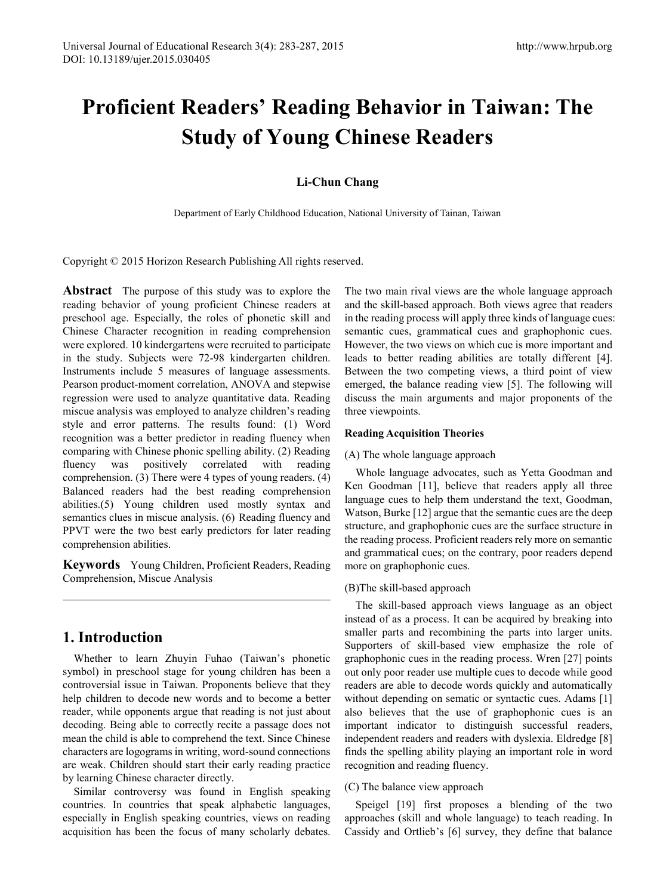# **Proficient Readers' Reading Behavior in Taiwan: The Study of Young Chinese Readers**

### **Li-Chun Chang**

Department of Early Childhood Education, National University of Tainan, Taiwan

Copyright © 2015 Horizon Research Publishing All rights reserved.

**Abstract** The purpose of this study was to explore the reading behavior of young proficient Chinese readers at preschool age. Especially, the roles of phonetic skill and Chinese Character recognition in reading comprehension were explored. 10 kindergartens were recruited to participate in the study. Subjects were 72-98 kindergarten children. Instruments include 5 measures of language assessments. Pearson product-moment correlation, ANOVA and stepwise regression were used to analyze quantitative data. Reading miscue analysis was employed to analyze children's reading style and error patterns. The results found: (1) Word recognition was a better predictor in reading fluency when comparing with Chinese phonic spelling ability. (2) Reading fluency was positively correlated with reading comprehension. (3) There were 4 types of young readers. (4) Balanced readers had the best reading comprehension abilities.(5) Young children used mostly syntax and semantics clues in miscue analysis. (6) Reading fluency and PPVT were the two best early predictors for later reading comprehension abilities.

**Keywords** Young Children, Proficient Readers, Reading Comprehension, Miscue Analysis

# **1. Introduction**

Whether to learn Zhuyin Fuhao (Taiwan's phonetic symbol) in preschool stage for young children has been a controversial issue in Taiwan. Proponents believe that they help children to decode new words and to become a better reader, while opponents argue that reading is not just about decoding. Being able to correctly recite a passage does not mean the child is able to comprehend the text. Since Chinese characters are logograms in writing, word-sound connections are weak. Children should start their early reading practice by learning Chinese character directly.

Similar controversy was found in English speaking countries. In countries that speak alphabetic languages, especially in English speaking countries, views on reading acquisition has been the focus of many scholarly debates.

The two main rival views are the whole language approach and the skill-based approach. Both views agree that readers in the reading process will apply three kinds of language cues: semantic cues, grammatical cues and graphophonic cues. However, the two views on which cue is more important and leads to better reading abilities are totally different [4]. Between the two competing views, a third point of view emerged, the balance reading view [5]. The following will discuss the main arguments and major proponents of the three viewpoints.

### **Reading Acquisition Theories**

### (A) The whole language approach

Whole language advocates, such as Yetta Goodman and Ken Goodman [11], believe that readers apply all three language cues to help them understand the text, Goodman, Watson, Burke [12] argue that the semantic cues are the deep structure, and graphophonic cues are the surface structure in the reading process. Proficient readers rely more on semantic and grammatical cues; on the contrary, poor readers depend more on graphophonic cues.

### (B)The skill-based approach

The skill-based approach views language as an object instead of as a process. It can be acquired by breaking into smaller parts and recombining the parts into larger units. Supporters of skill-based view emphasize the role of graphophonic cues in the reading process. Wren [27] points out only poor reader use multiple cues to decode while good readers are able to decode words quickly and automatically without depending on sematic or syntactic cues. Adams [1] also believes that the use of graphophonic cues is an important indicator to distinguish successful readers, independent readers and readers with dyslexia. Eldredge [8] finds the spelling ability playing an important role in word recognition and reading fluency.

### (C) The balance view approach

Speigel [19] first proposes a blending of the two approaches (skill and whole language) to teach reading. In Cassidy and Ortlieb's [6] survey, they define that balance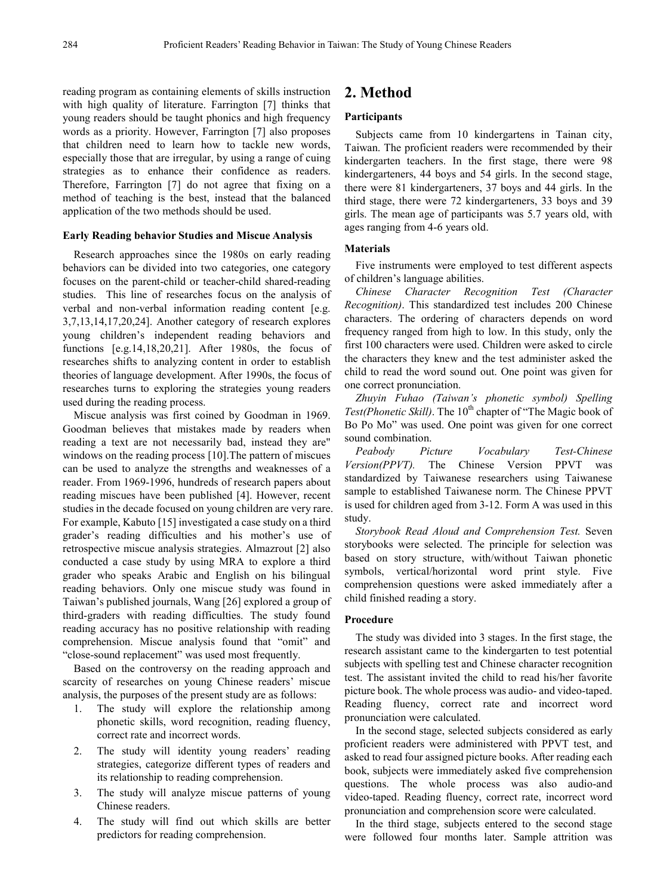reading program as containing elements of skills instruction with high quality of literature. Farrington [7] thinks that young readers should be taught phonics and high frequency words as a priority. However, Farrington [7] also proposes that children need to learn how to tackle new words, especially those that are irregular, by using a range of cuing strategies as to enhance their confidence as readers. Therefore, Farrington [7] do not agree that fixing on a method of teaching is the best, instead that the balanced application of the two methods should be used.

#### **Early Reading behavior Studies and Miscue Analysis**

Research approaches since the 1980s on early reading behaviors can be divided into two categories, one category focuses on the parent-child or teacher-child shared-reading studies. This line of researches focus on the analysis of verbal and non-verbal information reading content [e.g. 3,7,13,14,17,20,24]. Another category of research explores young children's independent reading behaviors and functions [e.g.14,18,20,21]. After 1980s, the focus of researches shifts to analyzing content in order to establish theories of language development. After 1990s, the focus of researches turns to exploring the strategies young readers used during the reading process.

Miscue analysis was first coined by Goodman in 1969. Goodman believes that mistakes made by readers when reading a text are not necessarily bad, instead they are" windows on the reading process [10].The pattern of miscues can be used to analyze the strengths and weaknesses of a reader. From 1969-1996, hundreds of research papers about reading miscues have been published [4]. However, recent studies in the decade focused on young children are very rare. For example, Kabuto [15] investigated a case study on a third grader's reading difficulties and his mother's use of retrospective miscue analysis strategies. Almazrout [2] also conducted a case study by using MRA to explore a third grader who speaks Arabic and English on his bilingual reading behaviors. Only one miscue study was found in Taiwan's published journals, Wang [26] explored a group of third-graders with reading difficulties. The study found reading accuracy has no positive relationship with reading comprehension. Miscue analysis found that "omit" and "close-sound replacement" was used most frequently.

Based on the controversy on the reading approach and scarcity of researches on young Chinese readers' miscue analysis, the purposes of the present study are as follows:

- 1. The study will explore the relationship among phonetic skills, word recognition, reading fluency, correct rate and incorrect words.
- 2. The study will identity young readers' reading strategies, categorize different types of readers and its relationship to reading comprehension.
- 3. The study will analyze miscue patterns of young Chinese readers.
- 4. The study will find out which skills are better predictors for reading comprehension.

# **2. Method**

#### **Participants**

Subjects came from 10 kindergartens in Tainan city, Taiwan. The proficient readers were recommended by their kindergarten teachers. In the first stage, there were 98 kindergarteners, 44 boys and 54 girls. In the second stage, there were 81 kindergarteners, 37 boys and 44 girls. In the third stage, there were 72 kindergarteners, 33 boys and 39 girls. The mean age of participants was 5.7 years old, with ages ranging from 4-6 years old.

#### **Materials**

Five instruments were employed to test different aspects of children's language abilities.

*Chinese Character Recognition Test (Character Recognition)*. This standardized test includes 200 Chinese characters. The ordering of characters depends on word frequency ranged from high to low. In this study, only the first 100 characters were used. Children were asked to circle the characters they knew and the test administer asked the child to read the word sound out. One point was given for one correct pronunciation.

*Zhuyin Fuhao (Taiwan's phonetic symbol) Spelling*  Test(Phonetic Skill). The 10<sup>th</sup> chapter of "The Magic book of Bo Po Mo" was used. One point was given for one correct sound combination.

*Peabody Picture Vocabulary Test-Chinese Version(PPVT).* The Chinese Version PPVT was standardized by Taiwanese researchers using Taiwanese sample to established Taiwanese norm. The Chinese PPVT is used for children aged from 3-12. Form A was used in this study.

*Storybook Read Aloud and Comprehension Test.* Seven storybooks were selected. The principle for selection was based on story structure, with/without Taiwan phonetic symbols, vertical/horizontal word print style. Five comprehension questions were asked immediately after a child finished reading a story.

#### **Procedure**

The study was divided into 3 stages. In the first stage, the research assistant came to the kindergarten to test potential subjects with spelling test and Chinese character recognition test. The assistant invited the child to read his/her favorite picture book. The whole process was audio- and video-taped. Reading fluency, correct rate and incorrect word pronunciation were calculated.

In the second stage, selected subjects considered as early proficient readers were administered with PPVT test, and asked to read four assigned picture books. After reading each book, subjects were immediately asked five comprehension questions. The whole process was also audio-and video-taped. Reading fluency, correct rate, incorrect word pronunciation and comprehension score were calculated.

In the third stage, subjects entered to the second stage were followed four months later. Sample attrition was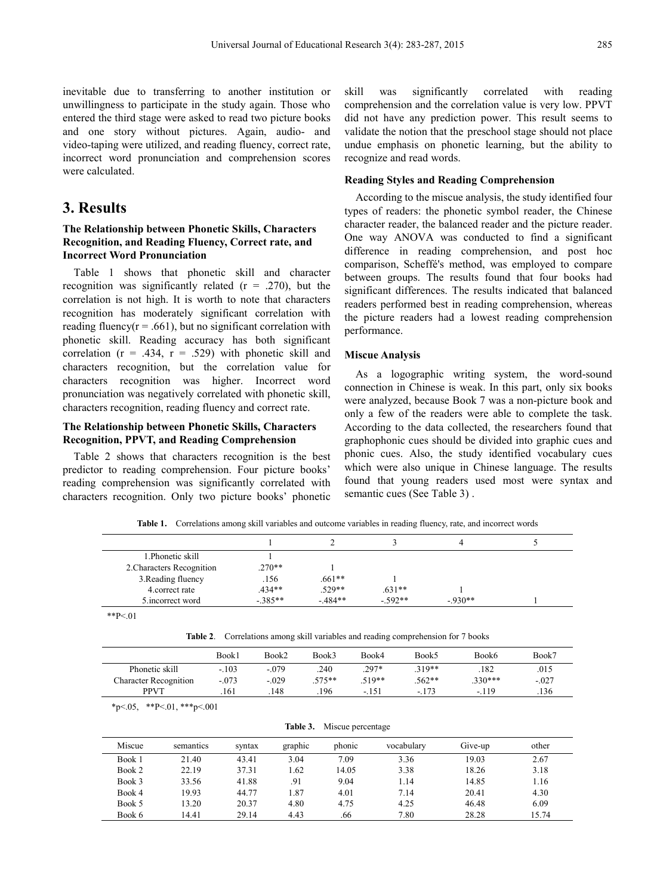inevitable due to transferring to another institution or unwillingness to participate in the study again. Those who entered the third stage were asked to read two picture books and one story without pictures. Again, audio- and video-taping were utilized, and reading fluency, correct rate, incorrect word pronunciation and comprehension scores were calculated.

# **3. Results**

### **The Relationship between Phonetic Skills, Characters Recognition, and Reading Fluency, Correct rate, and Incorrect Word Pronunciation**

Table 1 shows that phonetic skill and character recognition was significantly related  $(r = .270)$ , but the correlation is not high. It is worth to note that characters recognition has moderately significant correlation with reading fluency( $r = .661$ ), but no significant correlation with phonetic skill. Reading accuracy has both significant correlation  $(r = .434, r = .529)$  with phonetic skill and characters recognition, but the correlation value for characters recognition was higher. Incorrect word pronunciation was negatively correlated with phonetic skill, characters recognition, reading fluency and correct rate.

### **The Relationship between Phonetic Skills, Characters Recognition, PPVT, and Reading Comprehension**

Table 2 shows that characters recognition is the best predictor to reading comprehension. Four picture books' reading comprehension was significantly correlated with characters recognition. Only two picture books' phonetic

skill was significantly correlated with reading comprehension and the correlation value is very low. PPVT did not have any prediction power. This result seems to validate the notion that the preschool stage should not place undue emphasis on phonetic learning, but the ability to recognize and read words.

### **Reading Styles and Reading Comprehension**

According to the miscue analysis, the study identified four types of readers: the phonetic symbol reader, the Chinese character reader, the balanced reader and the picture reader. One way ANOVA was conducted to find a significant difference in reading comprehension, and post hoc comparison, Scheffé's method, was employed to compare between groups. The results found that four books had significant differences. The results indicated that balanced readers performed best in reading comprehension, whereas the picture readers had a lowest reading comprehension performance.

#### **Miscue Analysis**

As a logographic writing system, the word-sound connection in Chinese is weak. In this part, only six books were analyzed, because Book 7 was a non-picture book and only a few of the readers were able to complete the task. According to the data collected, the researchers found that graphophonic cues should be divided into graphic cues and phonic cues. Also, the study identified vocabulary cues which were also unique in Chinese language. The results found that young readers used most were syntax and semantic cues (See Table 3) .

**Table 1.** Correlations among skill variables and outcome variables in reading fluency, rate, and incorrect words

|                           |           |          |          | 4        |  |
|---------------------------|-----------|----------|----------|----------|--|
| 1. Phonetic skill         |           |          |          |          |  |
| 2. Characters Recognition | $.270**$  |          |          |          |  |
| 3. Reading fluency        | .156      | $.661**$ |          |          |  |
| 4. correct rate           | $.434**$  | $.529**$ | $.631**$ |          |  |
| 5.incorrect word          | $-.385**$ | $-484**$ | $-592**$ | $-930**$ |  |

**Table 2**. Correlations among skill variables and reading comprehension for 7 books

|                              | Book1   | Book2   | Book3 | Book4    | Book5    | Book6     | Book7   |
|------------------------------|---------|---------|-------|----------|----------|-----------|---------|
| Phonetic skill               | $-.103$ | $-.079$ | 240   | $.297*$  | $.319**$ | 182       | .015    |
| <b>Character Recognition</b> | $-.073$ | $-.029$ | 575** | $.519**$ | $.562**$ | $.330***$ | $-.027$ |
| <b>PPVT</b>                  | 161     | 148     | 196   | $-.151$  | $-173$   | $-.119$   | .136    |
|                              |         |         |       |          |          |           |         |

 $*p<.05$ ,  $*p<.01$ ,  $**p<.001$ 

| Miscue | semantics | syntax | graphic | phonic | vocabulary | Give-up | other |
|--------|-----------|--------|---------|--------|------------|---------|-------|
| Book 1 | 21.40     | 43.41  | 3.04    | 7.09   | 3.36       | 19.03   | 2.67  |
| Book 2 | 22.19     | 37.31  | 1.62    | 14.05  | 3.38       | 18.26   | 3.18  |
| Book 3 | 33.56     | 41.88  | .91     | 9.04   | 1.14       | 14.85   | 1.16  |
| Book 4 | 19.93     | 44.77  | 1.87    | 4.01   | 7.14       | 20.41   | 4.30  |
| Book 5 | 13.20     | 20.37  | 4.80    | 4.75   | 4.25       | 46.48   | 6.09  |
| Book 6 | 14.41     | 29.14  | 4.43    | .66    | 7.80       | 28.28   | 15.74 |

**Table 3.** Miscue percentage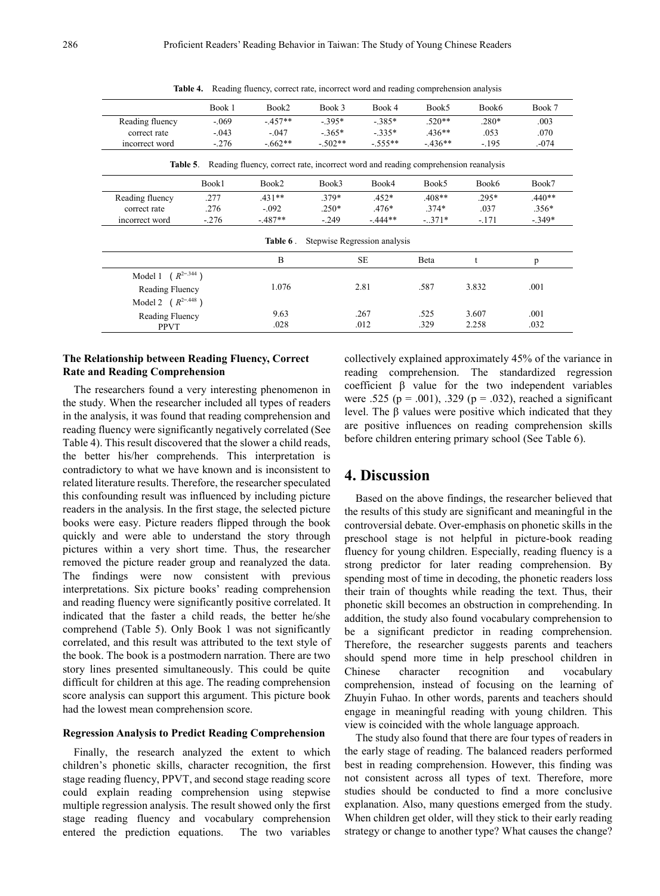|                          | Book 1  | Book2                                                                              | Book 3                       | Book 4    | Book5    | Book6   | Book 7   |
|--------------------------|---------|------------------------------------------------------------------------------------|------------------------------|-----------|----------|---------|----------|
| Reading fluency          | $-.069$ | $-457**$                                                                           | $-.395*$                     | $-385*$   | $.520**$ | $.280*$ | .003     |
| correct rate             | $-.043$ | $-.047$                                                                            | $-.365*$                     | $-335*$   | $436**$  | .053    | .070     |
| incorrect word           | $-.276$ | $-0.662**$                                                                         | $-.502**$                    | $-.555**$ | $-436**$ | $-.195$ | $-074$   |
| Table 5.                 |         | Reading fluency, correct rate, incorrect word and reading comprehension reanalysis |                              |           |          |         |          |
|                          | Book1   | Book2                                                                              | Book3                        | Book4     | Book5    | Book6   | Book7    |
| Reading fluency          | .277    | $.431**$                                                                           | 379*                         | $.452*$   | $.408**$ | $.295*$ | $.440**$ |
| correct rate             | .276    | $-.092$                                                                            | $.250*$                      | $.476*$   | $.374*$  | .037    | $.356*$  |
| incorrect word           | $-276$  | $-.487**$                                                                          | $-.249$                      | $-444**$  | $-.371*$ | $-.171$ | $-349*$  |
|                          |         | Table 6.                                                                           | Stepwise Regression analysis |           |          |         |          |
|                          |         | B                                                                                  |                              | <b>SE</b> | Beta     | t       | p        |
| Model 1 ( $R^{2=344}$ )  |         |                                                                                    |                              |           |          |         |          |
| Reading Fluency          |         | 1.076                                                                              | 2.81                         |           | .587     | 3.832   | .001     |
| Model 2 ( $R^{2=.448}$ ) |         |                                                                                    |                              |           |          |         |          |
| Reading Fluency          |         | 9.63                                                                               | .267                         |           | .525     | 3.607   | .001     |
| <b>PPVT</b>              |         | .028                                                                               |                              | .012      | .329     | 2.258   | .032     |

**Table 4.** Reading fluency, correct rate, incorrect word and reading comprehension analysis

### **The Relationship between Reading Fluency, Correct Rate and Reading Comprehension**

The researchers found a very interesting phenomenon in the study. When the researcher included all types of readers in the analysis, it was found that reading comprehension and reading fluency were significantly negatively correlated (See Table 4). This result discovered that the slower a child reads, the better his/her comprehends. This interpretation is contradictory to what we have known and is inconsistent to related literature results. Therefore, the researcher speculated this confounding result was influenced by including picture readers in the analysis. In the first stage, the selected picture books were easy. Picture readers flipped through the book quickly and were able to understand the story through pictures within a very short time. Thus, the researcher removed the picture reader group and reanalyzed the data. The findings were now consistent with previous interpretations. Six picture books' reading comprehension and reading fluency were significantly positive correlated. It indicated that the faster a child reads, the better he/she comprehend (Table 5). Only Book 1 was not significantly correlated, and this result was attributed to the text style of the book. The book is a postmodern narration. There are two story lines presented simultaneously. This could be quite difficult for children at this age. The reading comprehension score analysis can support this argument. This picture book had the lowest mean comprehension score.

#### **Regression Analysis to Predict Reading Comprehension**

Finally, the research analyzed the extent to which children's phonetic skills, character recognition, the first stage reading fluency, PPVT, and second stage reading score could explain reading comprehension using stepwise multiple regression analysis. The result showed only the first stage reading fluency and vocabulary comprehension entered the prediction equations. The two variables

collectively explained approximately 45% of the variance in reading comprehension. The standardized regression coefficient β value for the two independent variables were .525 ( $p = .001$ ), .329 ( $p = .032$ ), reached a significant level. The β values were positive which indicated that they are positive influences on reading comprehension skills before children entering primary school (See Table 6).

### **4. Discussion**

Based on the above findings, the researcher believed that the results of this study are significant and meaningful in the controversial debate. Over-emphasis on phonetic skills in the preschool stage is not helpful in picture-book reading fluency for young children. Especially, reading fluency is a strong predictor for later reading comprehension. By spending most of time in decoding, the phonetic readers loss their train of thoughts while reading the text. Thus, their phonetic skill becomes an obstruction in comprehending. In addition, the study also found vocabulary comprehension to be a significant predictor in reading comprehension. Therefore, the researcher suggests parents and teachers should spend more time in help preschool children in Chinese character recognition and vocabulary comprehension, instead of focusing on the learning of Zhuyin Fuhao. In other words, parents and teachers should engage in meaningful reading with young children. This view is coincided with the whole language approach.

The study also found that there are four types of readers in the early stage of reading. The balanced readers performed best in reading comprehension. However, this finding was not consistent across all types of text. Therefore, more studies should be conducted to find a more conclusive explanation. Also, many questions emerged from the study. When children get older, will they stick to their early reading strategy or change to another type? What causes the change?